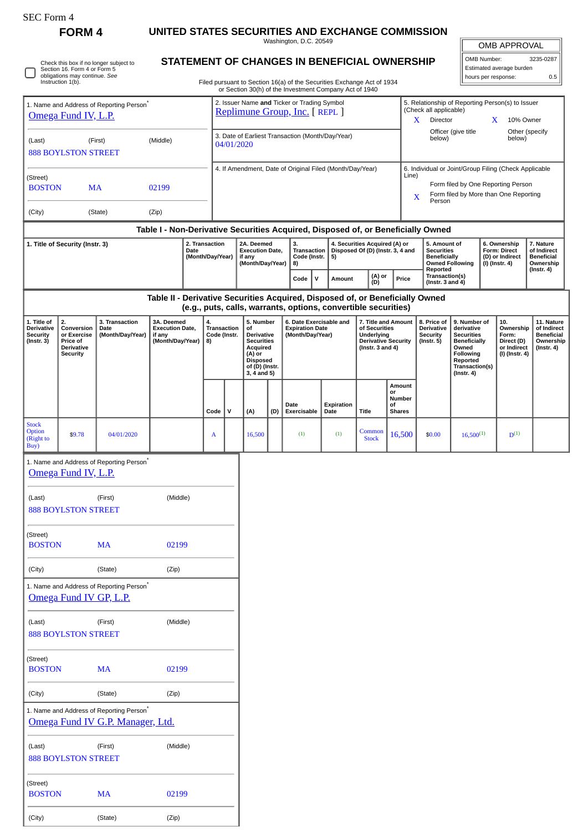0

Check this box if no longer subject to Section 16. Form 4 or Form 5 obligations may continue. *See* Instruction 1(b).

(City) (State) (Zip)

**FORM 4 UNITED STATES SECURITIES AND EXCHANGE COMMISSION**

Washington, D.C. 20549

OMB APPROVAL

| OMB Number:              | 3235-0287 |  |  |  |  |
|--------------------------|-----------|--|--|--|--|
| Estimated average burden |           |  |  |  |  |
| hours per response:      | 0.5       |  |  |  |  |

Filed pursuant to Section 16(a) of the Securities Exchange Act of 1934 or Section 30(h) of the Investment Company Act of 1940

**STATEMENT OF CHANGES IN BENEFICIAL OWNERSHIP**

|                                                                                                                                                 |                                                                                     |                                            |                                                                    |                                                                    |                                                                               |                                                 |                                                                                                                              |     | or Section 30(h) of the Investment Company Act of 1940                |                    |                                                                                                      |                                                                                                                |                                                                             |                                                                                                                                                |                          |                                                                          |                                                                           |
|-------------------------------------------------------------------------------------------------------------------------------------------------|-------------------------------------------------------------------------------------|--------------------------------------------|--------------------------------------------------------------------|--------------------------------------------------------------------|-------------------------------------------------------------------------------|-------------------------------------------------|------------------------------------------------------------------------------------------------------------------------------|-----|-----------------------------------------------------------------------|--------------------|------------------------------------------------------------------------------------------------------|----------------------------------------------------------------------------------------------------------------|-----------------------------------------------------------------------------|------------------------------------------------------------------------------------------------------------------------------------------------|--------------------------|--------------------------------------------------------------------------|---------------------------------------------------------------------------|
| 1. Name and Address of Reporting Person <sup>®</sup><br>Omega Fund IV, L.P.                                                                     |                                                                                     |                                            |                                                                    |                                                                    | 2. Issuer Name and Ticker or Trading Symbol<br>Replimune Group, Inc. [ REPL ] |                                                 |                                                                                                                              |     |                                                                       |                    |                                                                                                      | 5. Relationship of Reporting Person(s) to Issuer<br>(Check all applicable)<br>Director<br>10% Owner<br>X.<br>X |                                                                             |                                                                                                                                                |                          |                                                                          |                                                                           |
| (Middle)<br>(Last)<br>(First)<br><b>888 BOYLSTON STREET</b>                                                                                     |                                                                                     |                                            |                                                                    |                                                                    | 3. Date of Earliest Transaction (Month/Day/Year)<br>04/01/2020                |                                                 |                                                                                                                              |     |                                                                       |                    |                                                                                                      | below)                                                                                                         | Officer (give title                                                         |                                                                                                                                                | Other (specify<br>below) |                                                                          |                                                                           |
|                                                                                                                                                 |                                                                                     |                                            |                                                                    |                                                                    |                                                                               |                                                 |                                                                                                                              |     |                                                                       |                    | 6. Individual or Joint/Group Filing (Check Applicable                                                |                                                                                                                |                                                                             |                                                                                                                                                |                          |                                                                          |                                                                           |
| (Street)<br><b>BOSTON</b><br><b>MA</b><br>02199                                                                                                 |                                                                                     |                                            |                                                                    |                                                                    | 4. If Amendment, Date of Original Filed (Month/Day/Year)<br>Line)<br>X        |                                                 |                                                                                                                              |     |                                                                       |                    |                                                                                                      |                                                                                                                | Form filed by One Reporting Person<br>Form filed by More than One Reporting |                                                                                                                                                |                          |                                                                          |                                                                           |
| (State)<br>(Zip)<br>(City)                                                                                                                      |                                                                                     |                                            |                                                                    |                                                                    | Person                                                                        |                                                 |                                                                                                                              |     |                                                                       |                    |                                                                                                      |                                                                                                                |                                                                             |                                                                                                                                                |                          |                                                                          |                                                                           |
| Table I - Non-Derivative Securities Acquired, Disposed of, or Beneficially Owned                                                                |                                                                                     |                                            |                                                                    |                                                                    |                                                                               |                                                 |                                                                                                                              |     |                                                                       |                    |                                                                                                      |                                                                                                                |                                                                             |                                                                                                                                                |                          |                                                                          |                                                                           |
| 2. Transaction<br>1. Title of Security (Instr. 3)<br>Date<br>(Month/Day/Year)                                                                   |                                                                                     |                                            |                                                                    | 2A. Deemed<br><b>Execution Date,</b><br>if any<br>(Month/Day/Year) |                                                                               | 3.<br>8)                                        | Transaction<br>Code (Instr.<br>5)                                                                                            |     | 4. Securities Acquired (A) or<br>Disposed Of (D) (Instr. 3, 4 and     |                    | 5. Amount of<br><b>Securities</b><br><b>Beneficially</b><br><b>Owned Following</b><br>Reported       |                                                                                                                | 6. Ownership<br>Form: Direct<br>(D) or Indirect<br>(I) (Instr. 4)           | 7. Nature<br>of Indirect<br><b>Beneficial</b><br>Ownership<br>$($ Instr. 4 $)$                                                                 |                          |                                                                          |                                                                           |
|                                                                                                                                                 |                                                                                     |                                            |                                                                    |                                                                    |                                                                               | (A) or<br>$\mathsf{v}$<br>Code<br>Amount<br>(D) |                                                                                                                              |     |                                                                       |                    |                                                                                                      | Price                                                                                                          | Transaction(s)<br>(Instr. $3$ and $4$ )                                     |                                                                                                                                                |                          |                                                                          |                                                                           |
| Table II - Derivative Securities Acquired, Disposed of, or Beneficially Owned<br>(e.g., puts, calls, warrants, options, convertible securities) |                                                                                     |                                            |                                                                    |                                                                    |                                                                               |                                                 |                                                                                                                              |     |                                                                       |                    |                                                                                                      |                                                                                                                |                                                                             |                                                                                                                                                |                          |                                                                          |                                                                           |
| 1. Title of<br>Derivative<br><b>Security</b><br>$($ Instr. $3)$                                                                                 | 2.<br>Conversion<br>or Exercise<br>Price of<br><b>Derivative</b><br><b>Security</b> | 3. Transaction<br>Date<br>(Month/Day/Year) | 3A. Deemed<br><b>Execution Date,</b><br>if any<br>(Month/Day/Year) |                                                                    | 4.<br><b>Transaction</b><br>Code (Instr.<br>8)                                |                                                 | 5. Number<br>of<br>Derivative<br><b>Securities</b><br>Acquired<br>(A) or<br><b>Disposed</b><br>of (D) (Instr.<br>3, 4 and 5) |     | 6. Date Exercisable and<br><b>Expiration Date</b><br>(Month/Day/Year) |                    | 7. Title and Amount<br>of Securities<br>Underlying<br><b>Derivative Security</b><br>(Instr. 3 and 4) |                                                                                                                | 8. Price of<br>Derivative<br><b>Security</b><br>$($ Instr. 5 $)$            | 9. Number of<br>derivative<br><b>Securities</b><br><b>Beneficially</b><br>Owned<br>Following<br>Reported<br>Transaction(s)<br>$($ Instr. 4 $)$ |                          | 10.<br>Ownership<br>Form:<br>Direct (D)<br>or Indirect<br>(I) (Instr. 4) | 11. Nature<br>of Indirect<br><b>Beneficial</b><br>Ownership<br>(Instr. 4) |
|                                                                                                                                                 |                                                                                     |                                            |                                                                    |                                                                    | Code                                                                          | ${\bf v}$                                       | (A)                                                                                                                          | (D) | Date<br>Exercisable                                                   | Expiration<br>Date | or<br>of<br><b>Title</b>                                                                             | Amount<br>Number<br><b>Shares</b>                                                                              |                                                                             |                                                                                                                                                |                          |                                                                          |                                                                           |
| <b>Stock</b><br>Option<br>(Right to<br>Buy)                                                                                                     | \$9.78                                                                              | 04/01/2020                                 |                                                                    |                                                                    | A                                                                             |                                                 | 16,500                                                                                                                       |     | (1)                                                                   | (1)                | Common<br><b>Stock</b>                                                                               | 16,500                                                                                                         | \$0.00                                                                      | $16,500^{(1)}$                                                                                                                                 |                          | $D^{(1)}$                                                                |                                                                           |
| 1. Name and Address of Reporting Person <sup>®</sup><br>Omega Fund IV, L.P.                                                                     |                                                                                     |                                            |                                                                    |                                                                    |                                                                               |                                                 |                                                                                                                              |     |                                                                       |                    |                                                                                                      |                                                                                                                |                                                                             |                                                                                                                                                |                          |                                                                          |                                                                           |
| (Middle)<br>(Last)<br>(First)<br><b>888 BOYLSTON STREET</b>                                                                                     |                                                                                     |                                            |                                                                    |                                                                    |                                                                               |                                                 |                                                                                                                              |     |                                                                       |                    |                                                                                                      |                                                                                                                |                                                                             |                                                                                                                                                |                          |                                                                          |                                                                           |
| (Street)<br><b>BOSTON</b>                                                                                                                       |                                                                                     | <b>MA</b>                                  | 02199                                                              |                                                                    |                                                                               |                                                 |                                                                                                                              |     |                                                                       |                    |                                                                                                      |                                                                                                                |                                                                             |                                                                                                                                                |                          |                                                                          |                                                                           |
| (City)                                                                                                                                          |                                                                                     | (State)                                    | (Zip)                                                              |                                                                    |                                                                               |                                                 |                                                                                                                              |     |                                                                       |                    |                                                                                                      |                                                                                                                |                                                                             |                                                                                                                                                |                          |                                                                          |                                                                           |
| 1. Name and Address of Reporting Person*<br>Omega Fund IV GP, L.P.                                                                              |                                                                                     |                                            |                                                                    |                                                                    |                                                                               |                                                 |                                                                                                                              |     |                                                                       |                    |                                                                                                      |                                                                                                                |                                                                             |                                                                                                                                                |                          |                                                                          |                                                                           |
| (Middle)<br>(Last)<br>(First)<br><b>888 BOYLSTON STREET</b>                                                                                     |                                                                                     |                                            |                                                                    |                                                                    |                                                                               |                                                 |                                                                                                                              |     |                                                                       |                    |                                                                                                      |                                                                                                                |                                                                             |                                                                                                                                                |                          |                                                                          |                                                                           |
| (Street)<br><b>BOSTON</b>                                                                                                                       |                                                                                     | <b>MA</b>                                  | 02199                                                              |                                                                    |                                                                               |                                                 |                                                                                                                              |     |                                                                       |                    |                                                                                                      |                                                                                                                |                                                                             |                                                                                                                                                |                          |                                                                          |                                                                           |
| (City)                                                                                                                                          |                                                                                     | (State)                                    | (Zip)                                                              |                                                                    |                                                                               |                                                 |                                                                                                                              |     |                                                                       |                    |                                                                                                      |                                                                                                                |                                                                             |                                                                                                                                                |                          |                                                                          |                                                                           |
| 1. Name and Address of Reporting Person*<br>Omega Fund IV G.P. Manager, Ltd.                                                                    |                                                                                     |                                            |                                                                    |                                                                    |                                                                               |                                                 |                                                                                                                              |     |                                                                       |                    |                                                                                                      |                                                                                                                |                                                                             |                                                                                                                                                |                          |                                                                          |                                                                           |
| (Middle)<br>(First)<br>(Last)<br><b>888 BOYLSTON STREET</b>                                                                                     |                                                                                     |                                            |                                                                    |                                                                    |                                                                               |                                                 |                                                                                                                              |     |                                                                       |                    |                                                                                                      |                                                                                                                |                                                                             |                                                                                                                                                |                          |                                                                          |                                                                           |
| (Street)<br><b>BOSTON</b>                                                                                                                       |                                                                                     | <b>MA</b>                                  | 02199                                                              |                                                                    |                                                                               |                                                 |                                                                                                                              |     |                                                                       |                    |                                                                                                      |                                                                                                                |                                                                             |                                                                                                                                                |                          |                                                                          |                                                                           |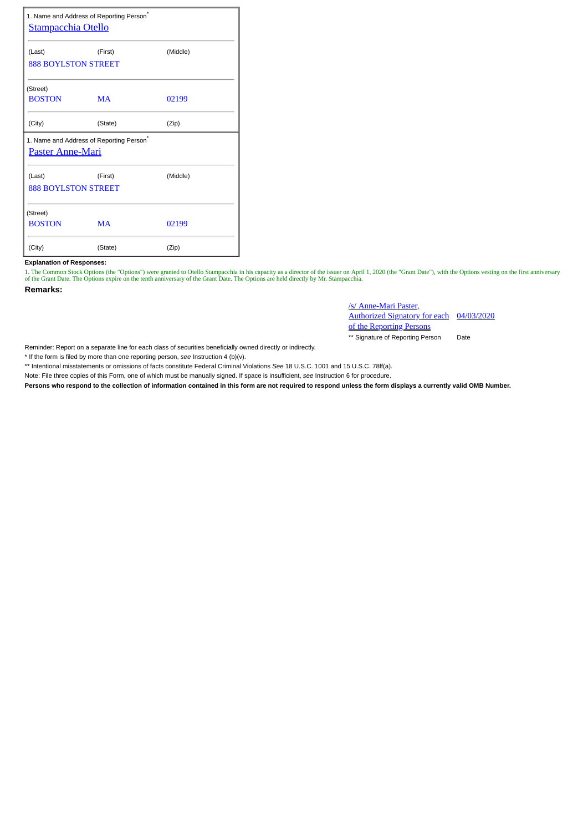| 1. Name and Address of Reporting Person <sup>*</sup><br><b>Stampacchia Otello</b> |           |          |  |  |  |  |  |  |  |
|-----------------------------------------------------------------------------------|-----------|----------|--|--|--|--|--|--|--|
| (Last)                                                                            | (First)   | (Middle) |  |  |  |  |  |  |  |
| <b>888 BOYLSTON STREET</b>                                                        |           |          |  |  |  |  |  |  |  |
| (Street)                                                                          |           |          |  |  |  |  |  |  |  |
| <b>BOSTON</b>                                                                     | <b>MA</b> | 02199    |  |  |  |  |  |  |  |
| (City)                                                                            | (State)   | (Zip)    |  |  |  |  |  |  |  |
| 1. Name and Address of Reporting Person*<br><b>Paster Anne-Mari</b>               |           |          |  |  |  |  |  |  |  |
| (Last)                                                                            | (First)   | (Middle) |  |  |  |  |  |  |  |
| <b>888 BOYLSTON STREET</b>                                                        |           |          |  |  |  |  |  |  |  |
| (Street)                                                                          |           |          |  |  |  |  |  |  |  |
| <b>BOSTON</b>                                                                     | <b>MA</b> | 02199    |  |  |  |  |  |  |  |
| (City)                                                                            | (State)   | (Zip)    |  |  |  |  |  |  |  |

## **Explanation of Responses:**

1. The Common Stock Options (the "Options") were granted to Otello Stampacchia in his capacity as a director of the issuer on April 1, 2020 (the "Grant Date"), with the Options vesting on the first anniversary<br>of the Grant

**Remarks:**

/s/ Anne-Mari Paster, Authorized Signatory for each 04/03/2020 of the Reporting Persons

\*\* Signature of Reporting Person Date

Reminder: Report on a separate line for each class of securities beneficially owned directly or indirectly.

\* If the form is filed by more than one reporting person, *see* Instruction 4 (b)(v).

\*\* Intentional misstatements or omissions of facts constitute Federal Criminal Violations *See* 18 U.S.C. 1001 and 15 U.S.C. 78ff(a).

Note: File three copies of this Form, one of which must be manually signed. If space is insufficient, *see* Instruction 6 for procedure.

**Persons who respond to the collection of information contained in this form are not required to respond unless the form displays a currently valid OMB Number.**